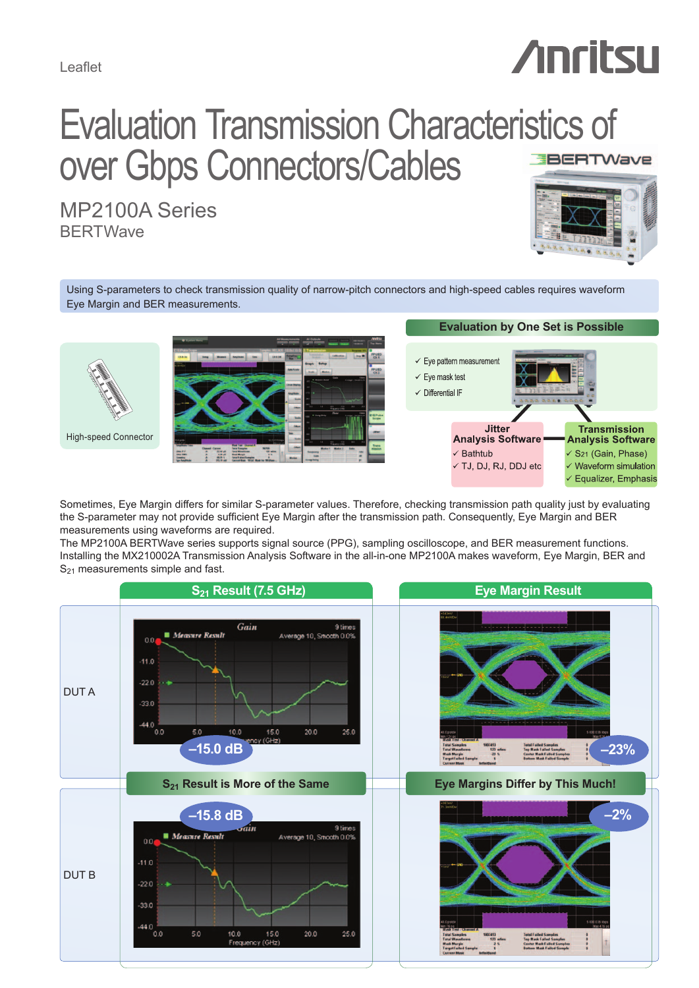Leaflet

# **Anritsu**

# Evaluation Transmission Characteristics of over Gbps Connectors/Cables **BERTWave**

MP2100A Series **BERTWave** 



Using S-parameters to check transmission quality of narrow-pitch connectors and high-speed cables requires waveform Eye Margin and BER measurements.



## **Evaluation by One Set is Possible**



Sometimes, Eye Margin differs for similar S-parameter values. Therefore, checking transmission path quality just by evaluating the S-parameter may not provide sufficient Eye Margin after the transmission path. Consequently, Eye Margin and BER measurements using waveforms are required.

The MP2100A BERTWave series supports signal source (PPG), sampling oscilloscope, and BER measurement functions. Installing the MX210002A Transmission Analysis Software in the all-in-one MP2100A makes waveform, Eye Margin, BER and S<sub>21</sub> measurements simple and fast.